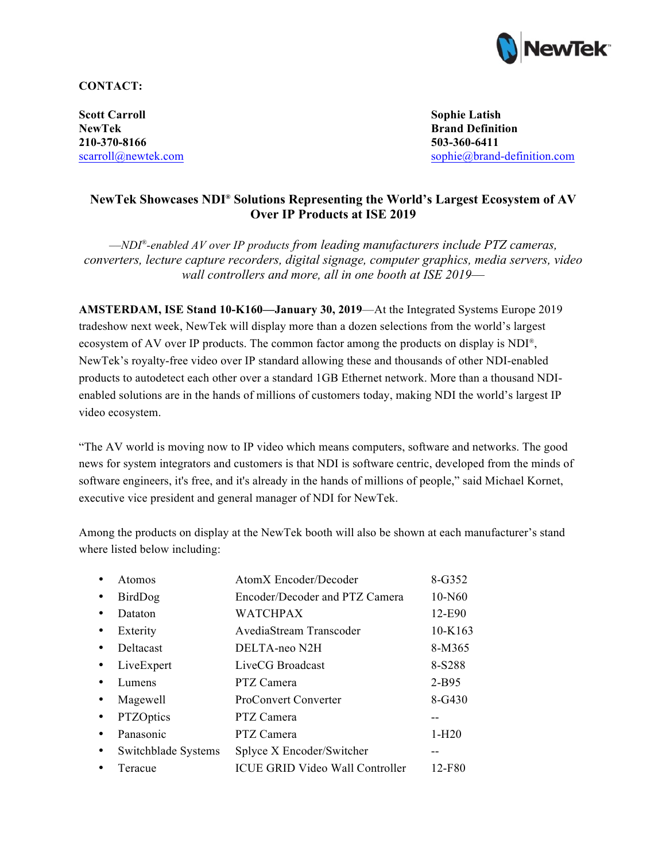

**CONTACT:**

**Scott Carroll Sophie Latish NewTek Brand Definition 210-370-8166 503-360-6411**

scarroll@newtek.com sophie@brand-definition.com

## **NewTek Showcases NDI® Solutions Representing the World's Largest Ecosystem of AV Over IP Products at ISE 2019**

––*NDI®-enabled AV over IP products from leading manufacturers include PTZ cameras, converters, lecture capture recorders, digital signage, computer graphics, media servers, video wall controllers and more, all in one booth at ISE 2019––*

**AMSTERDAM, ISE Stand 10-K160—January 30, 2019**—At the Integrated Systems Europe 2019 tradeshow next week, NewTek will display more than a dozen selections from the world's largest ecosystem of AV over IP products. The common factor among the products on display is NDI®, NewTek's royalty-free video over IP standard allowing these and thousands of other NDI-enabled products to autodetect each other over a standard 1GB Ethernet network. More than a thousand NDIenabled solutions are in the hands of millions of customers today, making NDI the world's largest IP video ecosystem.

"The AV world is moving now to IP video which means computers, software and networks. The good news for system integrators and customers is that NDI is software centric, developed from the minds of software engineers, it's free, and it's already in the hands of millions of people," said Michael Kornet, executive vice president and general manager of NDI for NewTek.

Among the products on display at the NewTek booth will also be shown at each manufacturer's stand where listed below including:

| Atomos              | AtomX Encoder/Decoder                  | 8-G352     |
|---------------------|----------------------------------------|------------|
| BirdDog             | Encoder/Decoder and PTZ Camera         | 10-N60     |
| Dataton             | WATCHPAX                               | 12-E90     |
| Exterity            | AvediaStream Transcoder                | 10-K163    |
| Deltacast           | DELTA-neo N2H                          | 8-M365     |
| LiveExpert          | LiveCG Broadcast                       | 8-S288     |
| Lumens              | PTZ Camera                             | $2-B95$    |
| Magewell            | <b>ProConvert Converter</b>            | $8 - G430$ |
| PTZOptics           | PTZ Camera                             |            |
| Panasonic           | PTZ Camera                             | $1-H20$    |
| Switchblade Systems | Splyce X Encoder/Switcher              |            |
| Teracue             | <b>ICUE GRID Video Wall Controller</b> | 12-F80     |